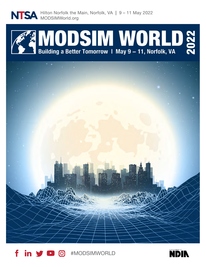

Hilton Norfolk the Main, Norfolk, VA | 9 – 11 May 2022 MODSIMWorld.org





#MODSIMWORLD

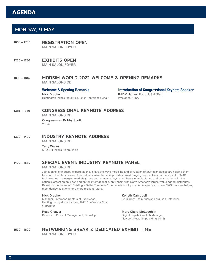# **AGENDA**

# MONDAY, 9 MAY

- 1000 1700 REGISTRATION OPEN MAIN SALON FOYER
- 1230 1730 EXHIBITS OPEN MAIN SALON FOYER

### 1300 – 1315 MODSIM WORLD 2022 WELCOME & OPENING REMARKS MAIN SALONS DE

Welcome & Opening Remarks Nick Drucker Huntington Ingalls Industries, 2022 Conference Chair Introduction of Congressional Keynote Speaker RADM James Robb, USN (Ret.) President, NTSA

## 1315 – 1330 CONGRESSIONAL KEYNOTE ADDRESS

MAIN SALONS DE

Congressman Bobby Scott VA-03

### 1330 – 1400 INDUSTRY KEYNOTE ADDRESS

MAIN SALONS DE

Terry Walley CTO, HII Ingalls Shipbuilding

### 1400 – 1530 SPECIAL EVENT: INDUSTRY KEYNOTE PANEL

### MAIN SALONS DE

Join a panel of industry experts as they share the ways modeling and simulation (M&S) technologies are helping them transform their businesses. This industry keynote panel provides broad ranging perspectives on the impact of M&S technologies in emerging markets (drone and unmanned systems), heavy manufacturing and construction with the nation's largest shipbuilder, and on the international supply chain with North America's largest value added distributor. Based on the theme of "Building a Better Tomorrow" the panelists will provide perspective on how M&S tools are helping them deploy solutions for a more resilient future.

### Nick Drucker

Manager, Enterprise Centers of Excellence, Huntington Ingalls Industries, 2022 Conference Chair *Moderator*

### Rese Cleaver

Director of Product Management, DroneUp

Kenyth Campbell

Sr. Supply Chain Analyst, Ferguson Enterprise

### Mary Claire McLaughlin Digital Capabilities Lab Manager, Newport News Shipbuilding (NNS)

1530 – 1600 NETWORKING BREAK & DEDICATED EXHIBIT TIME MAIN SALON FOYER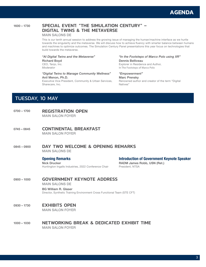

### 1600 – 1730 SPECIAL EVENT: "THE SIMULATION CENTURY" – DIGITAL TWINS & THE METAVERSE

MAIN SALONS DE

This is our tenth annual session to address the growing issue of managing the human/machine interface as we hurtle towards the singularity and the metaverse. We will discuss how to achieve fluency with smarter balance between humans and machines to optimize outcomes. The Simulation Century Panel presentations this year focus on technologies that build towards the metaverse.

*"AI Digital Twins and the Metaverse"*

Richard Boyd CEO, Tanjo, Inc. *Moderator*

### *"Digital Twins to Manage Community Wellness"* Anil Menon, Ph.D.

Executive Vice President, Community & Urban Services, Sharecare, Inc.

*"In the Footsteps of Marco Polo using XR"* Dennis Belliveau Explorer in Residence and Author,

In The Footsteps of Marco Polo

### *"Empowerment"*

Marc Prensky

Renowned author and creator of the term "Digital Natives"

# TUESDAY, 10 MAY

- 0700 1700 REGISTRATION OPEN MAIN SALON FOYER
- 0745 0845 **CONTINENTAL BREAKFAST** MAIN SALON FOYER
- 0845-0900 DAY TWO WELCOME & OPENING REMARKS MAIN SALONS DE

### Opening Remarks

Nick Drucker Huntington Ingalls Industries, 2022 Conference Chair Introduction of Government Keynote Speaker RADM James Robb, USN (Ret.) President, NTSA

# 0900 – 1000 GOVERNMENT KEYNOTE ADDRESS

MAIN SALONS DE

BG William R. Glaser Director, Synthetic Training Environment Cross Functional Team (STE CFT)

### 0930 - 1730 **EXHIBITS OPEN**

MAIN SALON FOYER

1000 – 1030 NETWORKING BREAK & DEDICATED EXHIBIT TIME MAIN SALON FOYER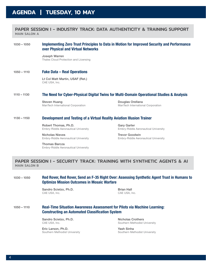### PAPER SESSION I - INDUSTRY TRACK: DATA AUTHENTICITY & TRAINING SUPPORT MAIN SALON A

### 1030 – 1050 Implementing Zero Trust Principles to Data in Motion for Improved Security and Performance over Physical and Virtual Networks

Joseph Warren Thales Cloud Protection and Licensing

### 1050 – 1110 Fake Data – Real Operations

Lt Col Matt Martin, USAF (Ret.) CAE USA, Inc.

### 1110 – 1130 The Need for Cyber-Physical Digital Twins for Multi-Domain Operational Studies & Analysis

Steven Huang ManTech International Corporation

Douglas Orellana ManTech International Corporation

### 1130 – 1150 Development and Testing of a Virtual Reality Aviation Illusion Trainer

Robert Thomas, Ph.D. Embry-Riddle Aeronautical University

Gary Garter Embry-Riddle Aeronautical University

Nicholas Nieves Embry-Riddle Aeronautical University Trevor Goodwin Embry-Riddle Aeronautical University

Thomas Barcza Embry-Riddle Aeronautical University

PAPER SESSION I - SECURITY TRACK: TRAINING WITH SYNTHETIC AGENTS & AI MAIN SALON B

1030 – 1050 Red Rover, Red Rover, Send an F-35 Right Over: Assessing Synthetic Agent Trust in Humans to Optimize Mission Outcomes in Mosaic Warfare

> Sandro Scielzo, Ph.D. CAE USA, Inc.

Brian Hall CAE USA, Inc.

### 1050 – 1110 Real-Time Situation Awareness Assessment for Pilots via Machine Learning: Constructing an Automated Classification System

Sandro Scielzo, Ph.D. CAE USA, Inc.

Eric Larson, Ph.D. Southern Methodist University Nicholas Crothers Southern Methodist University

Yash Sinha Southern Methodist University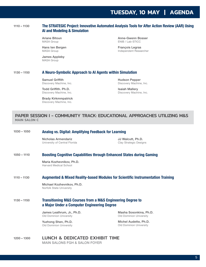# **TUESDAY, 10 MAY | AGENDA**

### 1110 – 1130 The STRATEGIC Project: Innovative Automated Analysis Tools for After Action Review (AAR) Using AI and Modeling & Simulation

Ariane Bitoun MASA Group

Hans ten Bergen MASA Group

James Appleby MASA Group

Anne-Gwenn Bosser ENIB / Lab-STICC

François Legras Independent Researcher

### 1130 – 1150 A Neuro-Symbolic Approach to AI Agents within Simulation

Samuel Griffith Discovery Machine, Inc.

Todd Griffith. Ph.D. Discovery Machine, Inc.

Brady Kirkmmpatrick Discovery Machine, Inc.

Hudson Pepper Discovery Machine, Inc.

Isaiah Mallery Discovery Machine, Inc.

### PAPER SESSION I - COMMUNITY TRACK: EDUCATIONAL APPROACHES UTILIZING M&S MAIN SALON C

### 1030 – 1050 Analog vs. Digital: Amplifying Feedback for Learning

Nicholas Armendariz University of Central Florida JJ Walcutt, Ph.D. Clay Strategic Designs

### 1050 – 1110 Boosting Cognitive Capabilities through Enhanced States during Gaming

Maria Kozhevnikov, Ph.D. Harvard Medical School

### 1110 – 1130 Augmented & Mixed Reality-based Modules for Scientific Instrumentation Training

Michael Kozhevnikov, Ph.D. Norfolk State University

### 1130 – 1150 Transitioning M&S Courses from a M&S Engineering Degree to a Major Under a Computer Engineering Degree

James Leathrum, Jr., Ph.D. Old Dominion University

Yuzhong Shen, Ph.D. Old Dominion University Masha Sosonkina, Ph.D. Old Dominion University

Michel Audette, Ph.D. Old Dominion University

### 1200 – 1300 LUNCH & DEDICATED EXHIBIT TIME MAIN SALONS FGH & SALON FOYER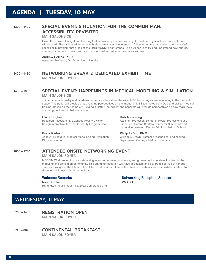### 1300 – 1400 SPECIAL EVENT: SIMULATION FOR THE COMMON MAN: ACCESSIBILITY REVISITED

### MAIN SALONS DE

Given the power of insight and learning that simulation provides, you might question why simulations are not more widely used. This facilitated, interactive brainstorming session intends to follow up on the discussion about the M&S accessibility problem that arose at the 2018 MODSIM conference. The purpose is to try and understand how our M&S community can reach new users and decision-makers. All attendees are welcome.

### Andrew Collins, Ph.D.

Assistant Professor, Old Dominion University

### 1400 – 1430 NETWORKING BREAK & DEDICATED EXHIBIT TIME

MAIN SALON FOYER

### 1430 – 1600 SPECIAL EVENT: HAPPENINGS IN MEDICAL MODELING & SIMULATION MAIN SALONS DE

Join a panel of industry and academic experts as they share the ways M&S technologies are innovating in the medical space. This panel will provide broad ranging perspectives on the impact of M&S technologies in DoD and civilian medical training. Based on the theme of "Building a Better Tomorrow," the panelists will provide perspectives on how M&S tools are being deployed to help save lives.

#### Claire Hughes

Research Associate III, eXtended Reality Division, Design Interactive, Inc., 2022 Deputy Program Chair

### Frank Karluk

Account Executive, Medical Modeling and Simulation, DLH Corporation

#### Bob Armstrong

Assistant Professor, School of Health Professions and Executive Director, Sentara Center for Simulation and Immersive Learning, Eastern Virginia Medical School

### Philip LeDuc, Ph.D.

William J. Brown Professor, Mechanical Engineering Department, Carnegie Mellon University

### 1600 – 1730 ATTENDEE ONSITE NETWORKING EVENT

### MAIN SALON FOYER

MODSIM World reception is a networking event for industry, academia, and government attendees involved in the modeling and simulation community. This standing reception will have appetizers and beverages served at various stations throughout the lobby of the Hilton. Participants will have the chance to network and visit exhibitor tables to discover the latest in M&S technology.

### Welcome Remarks

#### Nick Drucker

Huntington Ingalls Industries, 2022 Conference Chair

Networking Reception Sponsor VMASC

# WEDNESDAY, 11 MAY

0700 - 1400 REGISTRATION OPEN MAIN SALON FOYER

0745-0845 **CONTINENTAL BREAKFAST** MAIN SALON FOYER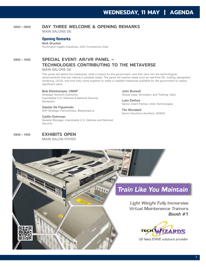# 0845-0900 DAY THREE WELCOME & OPENING REMARKS

MAIN SALONS DE

### Opening Remarks

Nick Drucker Huntington Ingalls Industries, 2022 Conference Chair

# 0900 - 1000 SPECIAL EVENT: AR/VR PANEL -TECHNOLOGIES CONTRIBUTING TO THE METAVERSE

MAIN SALONS DE

This panel will define the metaverse, what it means for the government, and then dive into the technological advancements that are making it possible today. The panel will explore areas such as real-time 3D, scaling, geospatial, rendering, UI/UX, and how they come together to make a credible metaverse available for the government to realize significant value.

### Bob Kleinhample, CMSP

Strategic Account Executive, Improbable U.S. Defense & National Security *Moderator*

Gastao De Figueiredo SVP Strategic Partnerships, Blackshark.ai

Caitlin Dohrman General Manager, Improbable U.S. Defense and National Security

John Burwell Global Lead, Simulation and Training, Varjo

Luke DeVore Senior Client Partner, Unity Technologies

Tim Woodard Senior Solutions Architect, NVIDIA

0930 - 1400 **EXHIBITS OPEN** 

MAIN SALON FOYER

# **Train Like You Maintain**

**Light Weight Fully Immersive Virtual Maintenance Trainers** Booth #1



US Navy STAVE solutions provider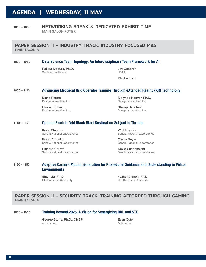# **AGENDA | WEDNESDAY, 11 MAY**

### 1000 – 1030 NETWORKING BREAK & DEDICATED EXHIBIT TIME MAIN SALON FOYER

### PAPER SESSION II - INDUSTRY TRACK: INDUSTRY FOCUSED M&S MAIN SALON A

### 1030 – 1050 Data Science Team Topology: An Interdisciplinary Team Framework for AI

Ralitsa Maduro, Ph.D. Sentara Healthcare

Jay Gendron USAA

Phil Lacasse

### 1050 – 1110 Advancing Electrical Grid Operator Training Through eXtended Reality (XR) Technology

Diana Perera Design Interactive, Inc.

Charis Horner Design Interactive, Inc.

Melynda Hoover, Ph.D. Design Interactive, Inc.

Stacey Sanchez Design Interactive, Inc.

### 1110 – 1130 Optimal Electric Grid Black Start Restoration Subject to Threats

Kevin Stamber Sandia National Laboratories

Bryan Arguello Sandia National Laboratories

Richard Garrett Sandia National Laboratories Walt Beyeler Sandia National Laboratories

Casey Doyle Sandia National Laboratories

David Schoenwald Sandia National Laboratories

### 1130 – 1150 Adaptive Camera Motion Generation for Procedural Guidance and Understanding in Virtual **Environments**

Shan Liu, Ph.D. Old Dominion University

Yuzhong Shen, Ph.D. Old Dominion University

### PAPER SESSION II - SECURITY TRACK: TRAINING AFFORDED THROUGH GAMING MAIN SALON B

### 1030 – 1050 Training Beyond 2025: A Vision for Synergizing RRL and STE

George Stone, Ph.D., CMSP Aptima, Inc.

Evan Oster Aptima, Inc.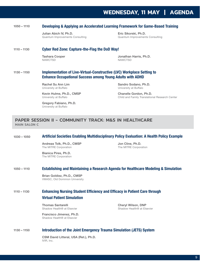# **WEDNESDAY, 11 MAY | AGENDA**

### 1050 – 1110 Developing & Applying an Accelerated Learning Framework for Game-Based Training

Julian Abich IV, Ph.D. Quantum Improvements Consulting

Eric Sikorski, Ph.D. Quantum Improvements Consulting

### 1110 – 1130 Cyber Red Zone: Capture-the-Flag the DoD Way!

Tashara Cooper **NAWCTSD** 

Jonathan Harris, Ph.D. **NAWCTSD** 

### 1130 – 1150 Implementation of Live-Virtual-Constructive (LVC) Workplace Setting to Enhance Occupational Success among Young Adults with ADHD

Rachel Su Ann Lim University at Buffalo

Kevin Hulme, Ph.D., CMSP University at Buffalo

Gregory Fabiano, Ph.D. University at Buffalo

Sandro Sodano, Ph.D. University at Buffalo

Chanelle Gordon, Ph.D. Child and Family Translational Research Center

### PAPER SESSION II - COMMUNITY TRACK: M&S IN HEALTHCARE MAIN SALON C

### 1030 – 1050 Artificial Societies Enabling Multidisciplinary Policy Evaluation: A Health Policy Example

Andreas Tolk, Ph.D., CMSP The MITRE Corporation

Bianica Pires, Ph.D. The MITRE Corporation

Jon Cline, Ph.D. The MITRE Corporation

### 1050 – 1110 Establishing and Maintaining a Research Agenda for Healthcare Modeling & Simulation

Brian Goldiez, Ph.D., CMSP VMASC, Old Dominion University

### 1110 – 1130 Enhancing Nursing Student Efficiency and Efficacy in Patient Care through

### Virtual Patient Simulation

Thomas Santarelli Shadow Health® at Elsevier

Cheryl Wilson, DNP Shadow Health® at Elsevier

Francisco Jimenez, Ph.D. Shadow Health® at Elsevier

### 1130 – 1150 Introduction of the Joint Emergency Trauma Simulation (JETS) System

CSM David Litteral, USA (Ret.), Ph.D. IVIR, Inc.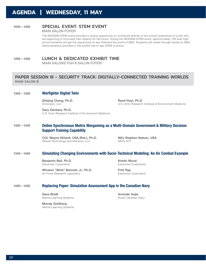# **AGENDA | WEDNESDAY, 11 MAY**

### 1030 – 1200 SPECIAL EVENT: STEM EVENT

MAIN SALON FOYER

The MODSIM STEM event provides a unique opportunity to contribute directly to the school experience of youth who are beginning to formulate their dreams for the future. During the MODSIM STEM event, approximately 100 area highschool students will get the opportunity to see firsthand the world of M&S. Students will rotate through hands-on M&S demonstrations provided in the exhibit hall to see STEM in action.

### 1200 – 1300 LUNCH & DEDICATED EXHIBIT TIME

MAIN SALONS FGH & SALON FOYER

### PAPER SESSION III - SECURITY TRACK: DIGITALLY-CONNECTED TRAINING WORLDS MAIN SALON B

### 1300 – 1320 Warfighter Digital Twin

Zhiqing Cheng, Ph.D. Innovision, LLC

Reed Hoyt, Ph.D. U.S. Army Research Institute of Environment Medicine

Gary Zientara, Ph.D. U.S. Army Research Institute of Environment Medicine

### 1320 – 1340 Online Synchronous Matrix Wargaming as a Multi-Domain Government & Military Decision Support Training Capability

COL Wayne Stilwell, USA (Ret.), Ph.D. Stilwell Technology and Robotics, LLC

MAJ Stephen Nelson, USA NATO ACT

### 1340 – 1400 Simulating Changing Environments with Socio-Technical Modeling: An Air Combat Example

Benjamin Bell, Ph.D. Eduworks Corporation

Winston "Wink" Bennett, Jr., Ph.D. Air Force Research Laboratory

Kristin Wood Eduworks Corporation

Fritz Ray Eduworks Corporation

### 1400 – 1420 Replacing Paper: Simulation Assessment App in the Canadian Navy

Dave Boldt Marine Learning Systems

Arvinder Aujla Royal Canadian Navy

Murray Goldberg Marine Learning Systems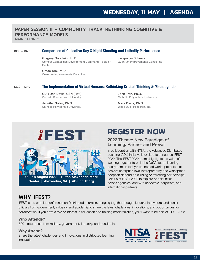## PAPER SESSION III - COMMUNITY TRACK: RETHINKING COGNITIVE & PERFORMANCE MODELS

MAIN SALON C

### 1300 – 1320 Comparison of Collective Day & Night Shooting and Lethality Performance

Gregory Goodwin, Ph.D. Combat Capabilities Development Command – Soldier Center

Jacquelyn Schreck Quantum Improvements Consulting

Grace Teo, Ph.D. Quantum Improvements Consulting

### 1320 – 1340 The Implementation of Virtual Humans: Rethinking Critical Thinking & Metacognition

CDR Dan Davis, USN (Ret.) Catholic Polytechnic University

Jennifer Nolan, Ph.D. Catholic Polytechnic University

John Tran, Ph.D. Catholic Polytechnic University

Mark Davis, Ph.D. Wood Duck Research, Inc.



# **REGISTER NOW**

### 2022 Theme: New Paradigm of Learning: Partner and Prevail

In collaboration with NTSA, the Advanced Distributed Learning (ADL) Initiative is excited to announce iFEST 2022. The iFEST 2022 theme highlights the value of working together to build the DoD's future learning ecosystem. In today's connected world, projects that achieve enterprise-level interoperability and widespread adoption depend on building or attracting partnerships. Join us at iFEST 2022 to explore opportunities across agencies, and with academic, corporate, and international partners.

# WHY iFEST?

iFEST is the premier conference on Distributed Learning, bringing together thought leaders, innovators, and senior officials from government, industry, and academia to share the latest challenges, innovations, and opportunities for collaboration. If you have a role or interest in education and training modernization, you'll want to be part of iFEST 2022.

### Who Attends?

500+ attendees from military, government, industry, and academia.

### Why Attend?

Share the latest challenges and innovations in distributed learning innovation.